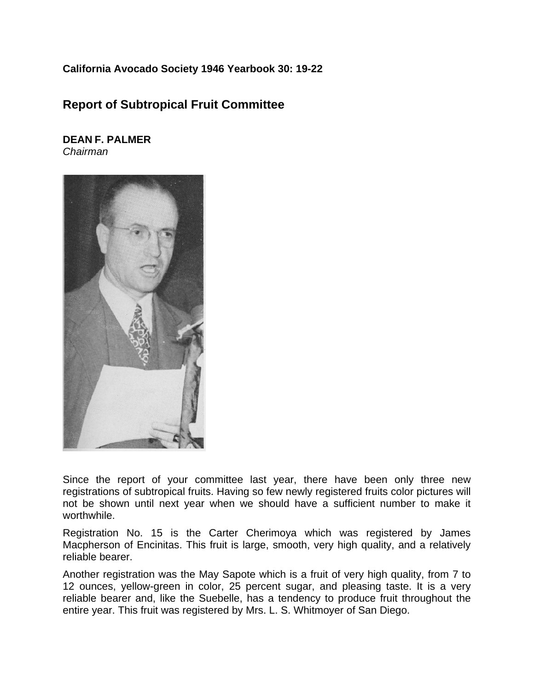## **California Avocado Society 1946 Yearbook 30: 19-22**

## **Report of Subtropical Fruit Committee**

## **DEAN F. PALMER** *Chairman*



Since the report of your committee last year, there have been only three new registrations of subtropical fruits. Having so few newly registered fruits color pictures will not be shown until next year when we should have a sufficient number to make it worthwhile.

Registration No. 15 is the Carter Cherimoya which was registered by James Macpherson of Encinitas. This fruit is large, smooth, very high quality, and a relatively reliable bearer.

Another registration was the May Sapote which is a fruit of very high quality, from 7 to 12 ounces, yellow-green in color, 25 percent sugar, and pleasing taste. It is a very reliable bearer and, like the Suebelle, has a tendency to produce fruit throughout the entire year. This fruit was registered by Mrs. L. S. Whitmoyer of San Diego.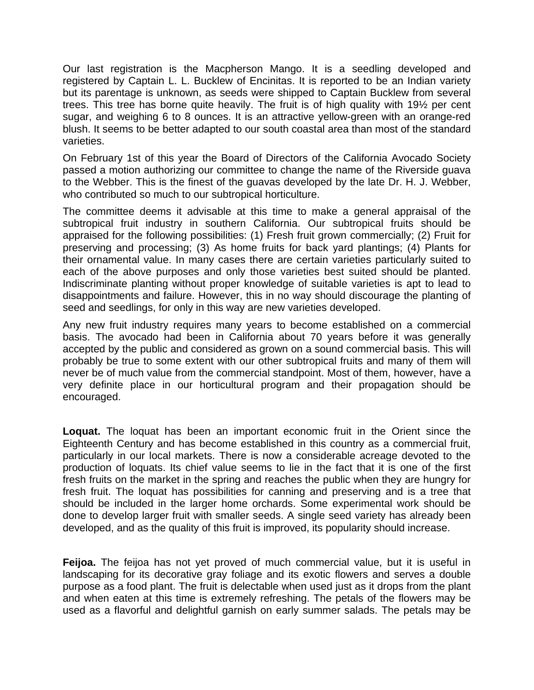Our last registration is the Macpherson Mango. It is a seedling developed and registered by Captain L. L. Bucklew of Encinitas. It is reported to be an Indian variety but its parentage is unknown, as seeds were shipped to Captain Bucklew from several trees. This tree has borne quite heavily. The fruit is of high quality with 19½ per cent sugar, and weighing 6 to 8 ounces. It is an attractive yellow-green with an orange-red blush. It seems to be better adapted to our south coastal area than most of the standard varieties.

On February 1st of this year the Board of Directors of the California Avocado Society passed a motion authorizing our committee to change the name of the Riverside guava to the Webber. This is the finest of the guavas developed by the late Dr. H. J. Webber, who contributed so much to our subtropical horticulture.

The committee deems it advisable at this time to make a general appraisal of the subtropical fruit industry in southern California. Our subtropical fruits should be appraised for the following possibilities: (1) Fresh fruit grown commercially; (2) Fruit for preserving and processing; (3) As home fruits for back yard plantings; (4) Plants for their ornamental value. In many cases there are certain varieties particularly suited to each of the above purposes and only those varieties best suited should be planted. Indiscriminate planting without proper knowledge of suitable varieties is apt to lead to disappointments and failure. However, this in no way should discourage the planting of seed and seedlings, for only in this way are new varieties developed.

Any new fruit industry requires many years to become established on a commercial basis. The avocado had been in California about 70 years before it was generally accepted by the public and considered as grown on a sound commercial basis. This will probably be true to some extent with our other subtropical fruits and many of them will never be of much value from the commercial standpoint. Most of them, however, have a very definite place in our horticultural program and their propagation should be encouraged.

**Loquat.** The loquat has been an important economic fruit in the Orient since the Eighteenth Century and has become established in this country as a commercial fruit, particularly in our local markets. There is now a considerable acreage devoted to the production of loquats. Its chief value seems to lie in the fact that it is one of the first fresh fruits on the market in the spring and reaches the public when they are hungry for fresh fruit. The loquat has possibilities for canning and preserving and is a tree that should be included in the larger home orchards. Some experimental work should be done to develop larger fruit with smaller seeds. A single seed variety has already been developed, and as the quality of this fruit is improved, its popularity should increase.

**Feijoa.** The feijoa has not yet proved of much commercial value, but it is useful in landscaping for its decorative gray foliage and its exotic flowers and serves a double purpose as a food plant. The fruit is delectable when used just as it drops from the plant and when eaten at this time is extremely refreshing. The petals of the flowers may be used as a flavorful and delightful garnish on early summer salads. The petals may be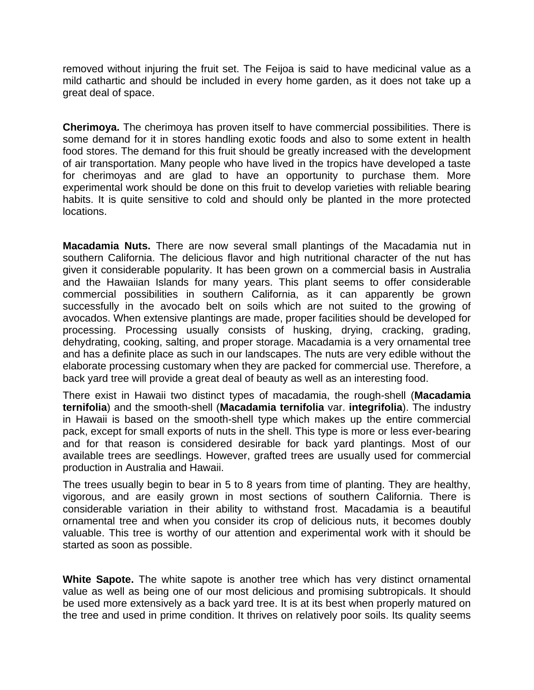removed without injuring the fruit set. The Feijoa is said to have medicinal value as a mild cathartic and should be included in every home garden, as it does not take up a great deal of space.

**Cherimoya.** The cherimoya has proven itself to have commercial possibilities. There is some demand for it in stores handling exotic foods and also to some extent in health food stores. The demand for this fruit should be greatly increased with the development of air transportation. Many people who have lived in the tropics have developed a taste for cherimoyas and are glad to have an opportunity to purchase them. More experimental work should be done on this fruit to develop varieties with reliable bearing habits. It is quite sensitive to cold and should only be planted in the more protected locations.

**Macadamia Nuts.** There are now several small plantings of the Macadamia nut in southern California. The delicious flavor and high nutritional character of the nut has given it considerable popularity. It has been grown on a commercial basis in Australia and the Hawaiian Islands for many years. This plant seems to offer considerable commercial possibilities in southern California, as it can apparently be grown successfully in the avocado belt on soils which are not suited to the growing of avocados. When extensive plantings are made, proper facilities should be developed for processing. Processing usually consists of husking, drying, cracking, grading, dehydrating, cooking, salting, and proper storage. Macadamia is a very ornamental tree and has a definite place as such in our landscapes. The nuts are very edible without the elaborate processing customary when they are packed for commercial use. Therefore, a back yard tree will provide a great deal of beauty as well as an interesting food.

There exist in Hawaii two distinct types of macadamia, the rough-shell (**Macadamia ternifolia**) and the smooth-shell (**Macadamia ternifolia** var. **integrifolia**). The industry in Hawaii is based on the smooth-shell type which makes up the entire commercial pack, except for small exports of nuts in the shell. This type is more or less ever-bearing and for that reason is considered desirable for back yard plantings. Most of our available trees are seedlings. However, grafted trees are usually used for commercial production in Australia and Hawaii.

The trees usually begin to bear in 5 to 8 years from time of planting. They are healthy, vigorous, and are easily grown in most sections of southern California. There is considerable variation in their ability to withstand frost. Macadamia is a beautiful ornamental tree and when you consider its crop of delicious nuts, it becomes doubly valuable. This tree is worthy of our attention and experimental work with it should be started as soon as possible.

**White Sapote.** The white sapote is another tree which has very distinct ornamental value as well as being one of our most delicious and promising subtropicals. It should be used more extensively as a back yard tree. It is at its best when properly matured on the tree and used in prime condition. It thrives on relatively poor soils. Its quality seems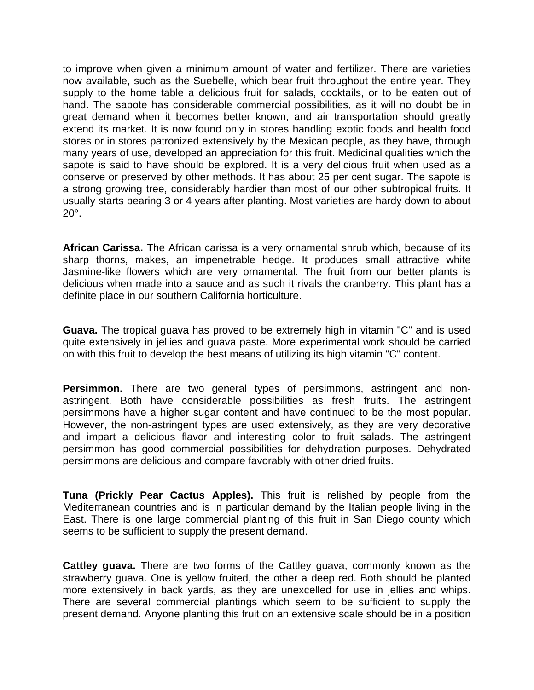to improve when given a minimum amount of water and fertilizer. There are varieties now available, such as the Suebelle, which bear fruit throughout the entire year. They supply to the home table a delicious fruit for salads, cocktails, or to be eaten out of hand. The sapote has considerable commercial possibilities, as it will no doubt be in great demand when it becomes better known, and air transportation should greatly extend its market. It is now found only in stores handling exotic foods and health food stores or in stores patronized extensively by the Mexican people, as they have, through many years of use, developed an appreciation for this fruit. Medicinal qualities which the sapote is said to have should be explored. It is a very delicious fruit when used as a conserve or preserved by other methods. It has about 25 per cent sugar. The sapote is a strong growing tree, considerably hardier than most of our other subtropical fruits. It usually starts bearing 3 or 4 years after planting. Most varieties are hardy down to about 20°.

**African Carissa.** The African carissa is a very ornamental shrub which, because of its sharp thorns, makes, an impenetrable hedge. It produces small attractive white Jasmine-like flowers which are very ornamental. The fruit from our better plants is delicious when made into a sauce and as such it rivals the cranberry. This plant has a definite place in our southern California horticulture.

**Guava.** The tropical guava has proved to be extremely high in vitamin "C" and is used quite extensively in jellies and guava paste. More experimental work should be carried on with this fruit to develop the best means of utilizing its high vitamin "C" content.

**Persimmon.** There are two general types of persimmons, astringent and nonastringent. Both have considerable possibilities as fresh fruits. The astringent persimmons have a higher sugar content and have continued to be the most popular. However, the non-astringent types are used extensively, as they are very decorative and impart a delicious flavor and interesting color to fruit salads. The astringent persimmon has good commercial possibilities for dehydration purposes. Dehydrated persimmons are delicious and compare favorably with other dried fruits.

**Tuna (Prickly Pear Cactus Apples).** This fruit is relished by people from the Mediterranean countries and is in particular demand by the Italian people living in the East. There is one large commercial planting of this fruit in San Diego county which seems to be sufficient to supply the present demand.

**Cattley guava.** There are two forms of the Cattley guava, commonly known as the strawberry guava. One is yellow fruited, the other a deep red. Both should be planted more extensively in back yards, as they are unexcelled for use in jellies and whips. There are several commercial plantings which seem to be sufficient to supply the present demand. Anyone planting this fruit on an extensive scale should be in a position